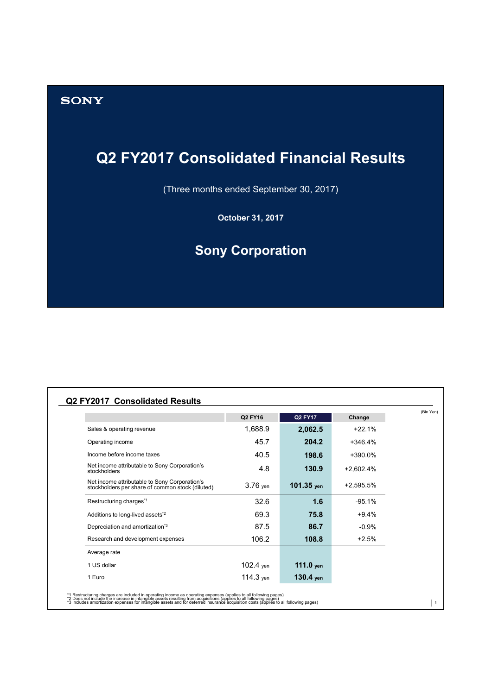## **SONY**

# **Q2 FY2017 Consolidated Financial Results**

(Three months ended September 30, 2017)

**October 31, 2017**

# **Sony Corporation**

|                                                                                                   | Q2 FY16     | <b>Q2 FY17</b> | Change      |  |
|---------------------------------------------------------------------------------------------------|-------------|----------------|-------------|--|
| Sales & operating revenue                                                                         | 1,688.9     | 2,062.5        | $+22.1%$    |  |
| Operating income                                                                                  | 45.7        | 204.2          | $+346.4%$   |  |
| Income before income taxes                                                                        | 40.5        | 198.6          | $+390.0%$   |  |
| Net income attributable to Sony Corporation's<br>stockholders                                     | 4.8         | 130.9          | $+2,602.4%$ |  |
| Net income attributable to Sony Corporation's<br>stockholders per share of common stock (diluted) | $3.76$ yen  | 101.35 yen     | +2,595.5%   |  |
| Restructuring charges*1                                                                           | 32.6        | 1.6            | $-95.1%$    |  |
| Additions to long-lived assets <sup>*2</sup>                                                      | 69.3        | 75.8           | $+9.4%$     |  |
| Depreciation and amortization*3                                                                   | 87.5        | 86.7           | $-0.9%$     |  |
| Research and development expenses                                                                 | 106.2       | 108.8          | $+2.5%$     |  |
| Average rate                                                                                      |             |                |             |  |
| 1 US dollar                                                                                       | $102.4$ yen | 111.0 $ven$    |             |  |
| 1 Euro                                                                                            | $114.3$ yen | $130.4$ yen    |             |  |

\*1 Restructuring charges are included in operating income as operating expenses (applies to all following pages)<br>\*2 Does not include the increase in intangible assets resulting from acquisitions (applies to all following p

 $|1\rangle$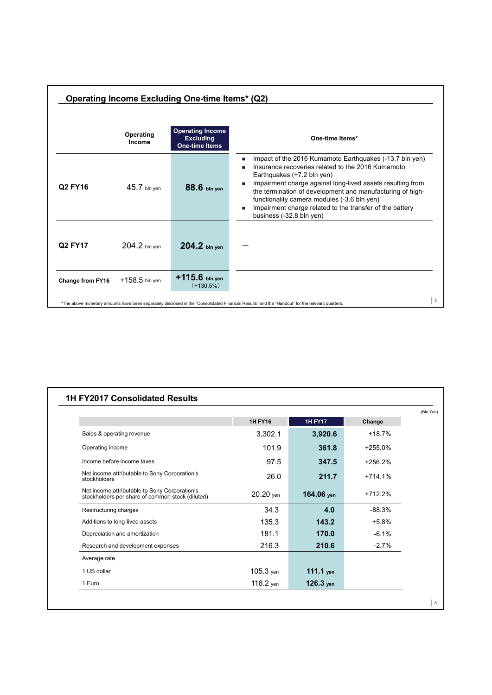|                  |                     | Operating Income Excluding One-time Items* (Q2)                      |                                                                                                                                                                                                                                                                                                                                                                                                                   |                |
|------------------|---------------------|----------------------------------------------------------------------|-------------------------------------------------------------------------------------------------------------------------------------------------------------------------------------------------------------------------------------------------------------------------------------------------------------------------------------------------------------------------------------------------------------------|----------------|
|                  | Operating<br>Income | <b>Operating Income</b><br><b>Excluding</b><br><b>One-time Items</b> | One-time Items*                                                                                                                                                                                                                                                                                                                                                                                                   |                |
| Q2 FY16          | $45.7$ bln yen      | 88.6 bln yen                                                         | Impact of the 2016 Kumamoto Earthquakes (-13.7 bln yen)<br>п<br>Insurance recoveries related to the 2016 Kumamoto<br>Earthquakes (+7.2 bln yen)<br>Impairment charge against long-lived assets resulting from<br>the termination of development and manufacturing of high-<br>functionality camera modules (-3.6 bln yen)<br>Impairment charge related to the transfer of the battery<br>business (-32.8 bln yen) |                |
| Q2 FY17          | $204.2$ bln ven     | 204.2 bln yen                                                        |                                                                                                                                                                                                                                                                                                                                                                                                                   |                |
| Change from FY16 | $+158.5$ bln yen    | $+115.6$ bln yen<br>$(+130.5\%)$                                     |                                                                                                                                                                                                                                                                                                                                                                                                                   |                |
|                  |                     |                                                                      | *The above monetary amounts have been separately disclosed in the "Consolidated Financial Results" and the "Handout" for the relevant quarters.                                                                                                                                                                                                                                                                   | $\overline{2}$ |

|                                                                                                   | <b>1H FY16</b> | <b>1H FY17</b> | Change    |  |
|---------------------------------------------------------------------------------------------------|----------------|----------------|-----------|--|
| Sales & operating revenue                                                                         | 3,302.1        | 3,920.6        | $+18.7%$  |  |
| Operating income                                                                                  | 101.9          | 361.8          | $+255.0%$ |  |
| Income before income taxes                                                                        | 97.5           | 347.5          | $+256.2%$ |  |
| Net income attributable to Sony Corporation's<br>stockholders                                     | 26.0           | 211.7          | $+714.1%$ |  |
| Net income attributable to Sony Corporation's<br>stockholders per share of common stock (diluted) | $20.20$ yen    | 164.06 yen     | $+712.2%$ |  |
| Restructuring charges                                                                             | 34.3           | 4.0            | $-88.3%$  |  |
| Additions to long-lived assets                                                                    | 135.3          | 143.2          | $+5.8%$   |  |
| Depreciation and amortization                                                                     | 181.1          | 170.0          | $-6.1%$   |  |
| Research and development expenses                                                                 | 216.3          | 210.6          | $-2.7%$   |  |
| Average rate                                                                                      |                |                |           |  |
| 1 US dollar                                                                                       | 105.3 yen      | 111.1 yen      |           |  |
| 1 Euro                                                                                            | $118.2$ yen    | $126.3$ yen    |           |  |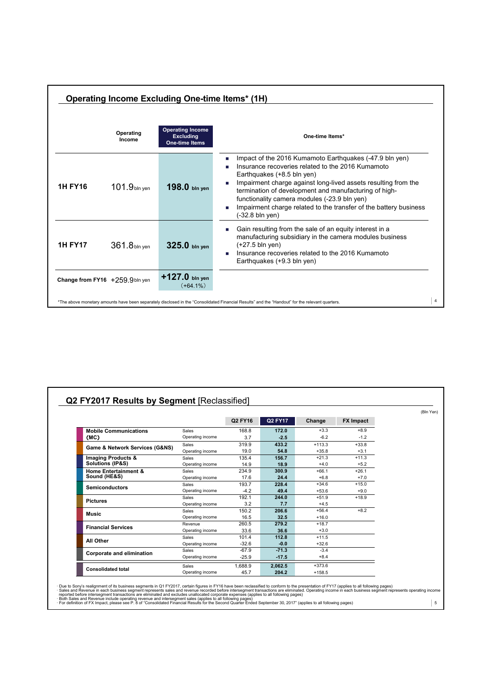| Operating Income Excluding One-time Items* (1H) |                                |                                                                      |                                                                                                                                                                                                                                                                                                                                                                                                               |                |  |
|-------------------------------------------------|--------------------------------|----------------------------------------------------------------------|---------------------------------------------------------------------------------------------------------------------------------------------------------------------------------------------------------------------------------------------------------------------------------------------------------------------------------------------------------------------------------------------------------------|----------------|--|
|                                                 | Operating<br>Income            | <b>Operating Income</b><br><b>Excluding</b><br><b>One-time Items</b> | One-time Items*                                                                                                                                                                                                                                                                                                                                                                                               |                |  |
| <b>1H FY16</b>                                  | $101.9bin$ yen                 | 198.0 bln yen                                                        | Impact of the 2016 Kumamoto Earthquakes (-47.9 bln yen)<br>Insurance recoveries related to the 2016 Kumamoto<br>Earthquakes (+8.5 bln yen)<br>Impairment charge against long-lived assets resulting from the<br>termination of development and manufacturing of high-<br>functionality camera modules (-23.9 bln yen)<br>Impairment charge related to the transfer of the battery business<br>(-32.8 bln yen) |                |  |
| <b>1H FY17</b>                                  | $361.8$ bln yen                | $325.0$ bln ven                                                      | Gain resulting from the sale of an equity interest in a<br>manufacturing subsidiary in the camera modules business<br>$(+27.5 \text{ bln yen})$<br>Insurance recoveries related to the 2016 Kumamoto<br>Earthquakes (+9.3 bln yen)                                                                                                                                                                            |                |  |
|                                                 | Change from FY16 +259.9bln yen | $+127.0$ bln yen<br>$(+64.1\%)$                                      |                                                                                                                                                                                                                                                                                                                                                                                                               |                |  |
|                                                 |                                |                                                                      | *The above monetary amounts have been separately disclosed in the "Consolidated Financial Results" and the "Handout" for the relevant quarters.                                                                                                                                                                                                                                                               | $\overline{4}$ |  |

|                                                 |                  |         |         |          |                  | (Bln Yen) |
|-------------------------------------------------|------------------|---------|---------|----------|------------------|-----------|
|                                                 |                  | Q2 FY16 | Q2 FY17 | Change   | <b>FX Impact</b> |           |
| <b>Mobile Communications</b>                    | Sales            | 168.8   | 172.0   | $+3.3$   | $+8.9$           |           |
| (MC)                                            | Operating income | 3.7     | 2.5     | $-6.2$   | $-1.2$           |           |
|                                                 | Sales            | 319.9   | 433.2   | $+113.3$ | $+33.8$          |           |
| Game & Network Services (G&NS)                  | Operating income | 19.0    | 54.8    | $+35.8$  | $+3.1$           |           |
| Imaging Products &                              | Sales            | 135.4   | 156.7   | $+21.3$  | $+11.3$          |           |
| Solutions (IP&S)                                | Operating income | 14.9    | 18.9    | $+4.0$   | $+5.2$           |           |
| <b>Home Entertainment &amp;</b><br>Sound (HE&S) | Sales            | 234.9   | 300.9   | $+66.1$  | $+26.1$          |           |
|                                                 | Operating income | 17.6    | 24.4    | $+6.8$   | $+7.0$           |           |
| <b>Semiconductors</b>                           | Sales            | 193.7   | 228.4   | $+34.6$  | $+15.0$          |           |
|                                                 | Operating income | $-4.2$  | 49.4    | $+53.6$  | $+9.0$           |           |
| <b>Pictures</b>                                 | Sales            | 192.1   | 244.0   | $+51.9$  | $+18.9$          |           |
|                                                 | Operating income | 3.2     | 7.7     | $+4.5$   |                  |           |
| <b>Music</b>                                    | <b>Sales</b>     | 150.2   | 206.6   | $+56.4$  | $+8.2$           |           |
|                                                 | Operating income | 16.5    | 32.5    | $+16.0$  |                  |           |
| <b>Financial Services</b>                       | Revenue          | 260.5   | 279.2   | $+18.7$  |                  |           |
|                                                 | Operating income | 33.6    | 36.6    | $+3.0$   |                  |           |
| All Other                                       | Sales            | 101.4   | 112.8   | $+11.5$  |                  |           |
|                                                 | Operating income | $-32.6$ | $-0.0$  | $+32.6$  |                  |           |
| Corporate and elimination                       | Sales            | $-67.9$ | $-71.3$ | $-3.4$   |                  |           |
|                                                 | Operating income | $-25.9$ | $-17.5$ | $+8.4$   |                  |           |
|                                                 | Sales            | 1,688.9 | 2,062.5 | $+373.6$ |                  |           |
| <b>Consolidated total</b>                       | Operating income | 45.7    | 204.2   | $+158.5$ |                  |           |

· Due to Sony's realignment of its business segments in Q1 FY2017, certain figures in FY16 have been reclassified to conform to the presentation of FY17 (applies to all following pages)<br>· Geles and Revenue include operati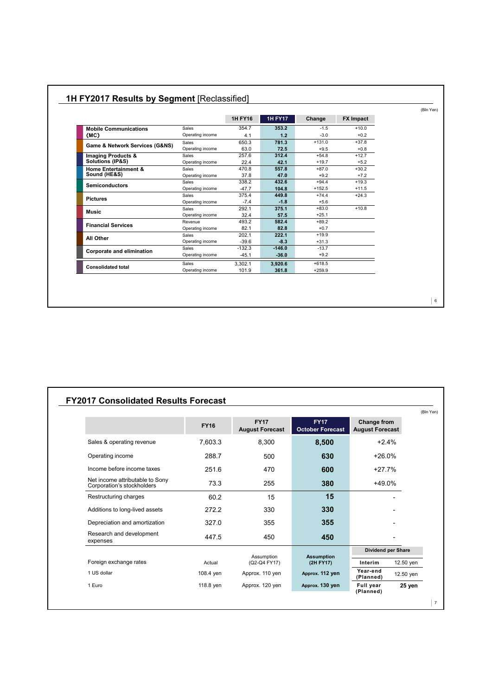|                                 |                  | <b>1H FY16</b> | <b>1H FY17</b> | Change   | <b>FX Impact</b> |
|---------------------------------|------------------|----------------|----------------|----------|------------------|
| <b>Mobile Communications</b>    | Sales            | 354.7          | 353.2          | $-1.5$   | $+10.0$          |
| (MC)                            | Operating income | 4.1            | 1.2            | $-3.0$   | $+0.2$           |
| Game & Network Services (G&NS)  | Sales            | 650.3          | 781.3          | $+131.0$ | $+37.8$          |
|                                 | Operating income | 63.0           | 72.5           | $+9.5$   | $+0.8$           |
| <b>Imaging Products &amp;</b>   | <b>Sales</b>     | 257.6          | 312.4          | $+54.8$  | $+12.7$          |
| Solutions (IP&S)                | Operating income | 22.4           | 42.1           | $+19.7$  | $+5.2$           |
| <b>Home Entertainment &amp;</b> | Sales            | 470.8          | 557.8          | $+87.0$  | $+30.2$          |
| Sound (HE&S)                    | Operating income | 37.8           | 47.0           | $+9.2$   | $+7.2$           |
| <b>Semiconductors</b>           | <b>Sales</b>     | 338.2          | 432.6          | $+94.4$  | $+19.3$          |
|                                 | Operating income | $-47.7$        | 104.8          | $+152.5$ | $+11.5$          |
| <b>Pictures</b>                 | <b>Sales</b>     | 375.4          | 449.8          | $+74.4$  | $+24.3$          |
|                                 | Operating income | $-7.4$         | $-1.8$         | $+5.6$   |                  |
| Music                           | <b>Sales</b>     | 292.1          | 375.1          | $+83.0$  | $+10.8$          |
|                                 | Operating income | 32.4           | 57.5           | $+25.1$  |                  |
| <b>Financial Services</b>       | Revenue          | 493.2          | 582.4          | $+89.2$  |                  |
|                                 | Operating income | 82.1           | 82.8           | $+0.7$   |                  |
| All Other                       | Sales            | 202.1          | 222.1          | $+19.9$  |                  |
|                                 | Operating income | $-39.6$        | $-8.3$         | $+31.3$  |                  |
| Corporate and elimination       | Sales            | $-132.3$       | $-146.0$       | $-13.7$  |                  |
|                                 | Operating income | $-45.1$        | $-36.0$        | $+9.2$   |                  |
| <b>Consolidated total</b>       | Sales            | 3.302.1        | 3,920.6        | $+618.5$ |                  |
|                                 | Operating income | 101.9          | 361.8          | $+259.9$ |                  |

#### **1H FY2017 Results by Segment** [Reclassified]

### **FY2017 Consolidated Results Forecast**

|                                                               | <b>FY16</b> | <b>FY17</b><br><b>August Forecast</b> | <b>FY17</b><br><b>October Forecast</b> | Change from<br><b>August Forecast</b> |           |
|---------------------------------------------------------------|-------------|---------------------------------------|----------------------------------------|---------------------------------------|-----------|
| Sales & operating revenue                                     | 7,603.3     | 8,300                                 | 8,500                                  | $+2.4%$                               |           |
| Operating income                                              | 288.7       | 500                                   | 630                                    | $+26.0%$                              |           |
| Income before income taxes                                    | 251.6       | 470                                   | 600                                    | $+27.7%$                              |           |
| Net income attributable to Sony<br>Corporation's stockholders | 73.3        | 255                                   | 380                                    | +49.0%                                |           |
| Restructuring charges                                         | 60.2        | 15                                    | 15                                     |                                       |           |
| Additions to long-lived assets                                | 272.2       | 330                                   | 330                                    |                                       |           |
| Depreciation and amortization                                 | 327.0       | 355                                   | 355                                    |                                       |           |
| Research and development<br>expenses                          | 447.5       | 450                                   | 450                                    |                                       |           |
|                                                               |             |                                       |                                        | Dividend per Share                    |           |
| Foreign exchange rates                                        | Actual      | Assumption<br>(Q2-Q4 FY17)            | <b>Assumption</b><br>(2H FY17)         | Interim                               | 12.50 yen |
| 1 US dollar                                                   | 108.4 yen   | Approx. 110 yen                       | Approx. 112 yen                        | Year-end<br>(Planned)                 | 12.50 yen |
| 1 Euro                                                        | 118.8 yen   | Approx. 120 yen                       | Approx. 130 yen                        | Full year<br>(Planned)                | 25 yen    |

7

(Bln Yen)

6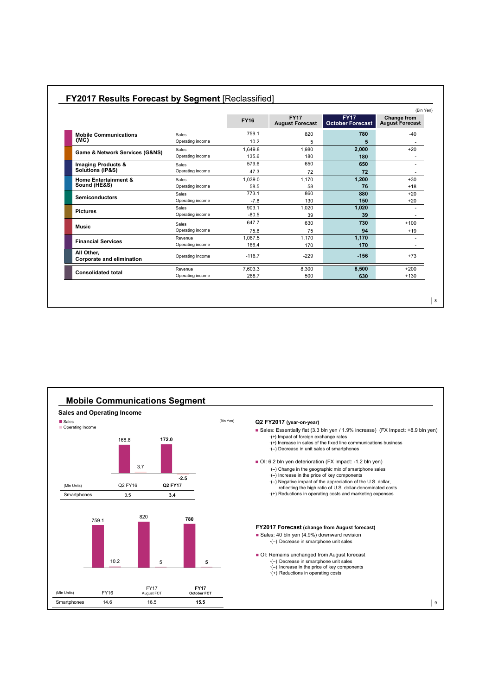|                                         |                  | <b>FY16</b> | <b>FY17</b><br><b>August Forecast</b> | <b>FY17</b><br><b>October Forecast</b> | (Bln Yen)<br><b>Change from</b><br><b>August Forecast</b> |
|-----------------------------------------|------------------|-------------|---------------------------------------|----------------------------------------|-----------------------------------------------------------|
|                                         |                  |             |                                       |                                        |                                                           |
| <b>Mobile Communications</b>            | Sales            | 759.1       | 820                                   | 780                                    | $-40$                                                     |
| (MC)                                    | Operating income | 10.2        | 5                                     | 5                                      |                                                           |
| Game & Network Services (G&NS)          | Sales            | 1,649.8     | 1.980                                 | 2,000                                  | $+20$                                                     |
|                                         | Operating income | 135.6       | 180                                   | 180                                    |                                                           |
| Imaging Products &                      | Sales            | 579.6       | 650                                   | 650                                    |                                                           |
| Solutions (IP&S)                        | Operating income | 47.3        | 72                                    | 72                                     |                                                           |
| <b>Home Entertainment &amp;</b>         | Sales            | 1.039.0     | 1.170                                 | 1,200                                  | $+30$                                                     |
| Sound (HE&S)                            | Operating income | 58.5        | 58                                    | 76                                     | $+18$                                                     |
| <b>Semiconductors</b>                   | Sales            | 773.1       | 860                                   | 880                                    | $+20$                                                     |
|                                         | Operating income | $-7.8$      | 130                                   | 150                                    | $+20$                                                     |
| <b>Pictures</b>                         | Sales            | 903.1       | 1,020                                 | 1,020                                  |                                                           |
|                                         | Operating income | $-80.5$     | 39                                    | 39                                     |                                                           |
| <b>Music</b>                            | Sales            | 647.7       | 630                                   | 730                                    | $+100$                                                    |
|                                         | Operating income | 75.8        | 75                                    | 94                                     | $+19$                                                     |
| <b>Financial Services</b>               | Revenue          | 1.087.5     | 1,170                                 | 1,170                                  |                                                           |
|                                         | Operating income | 166.4       | 170                                   | 170                                    |                                                           |
| All Other,<br>Corporate and elimination | Operating Income | $-116.7$    | $-229$                                | $-156$                                 | $+73$                                                     |
|                                         | Revenue          | 7.603.3     | 8,300                                 | 8.500                                  | $+200$                                                    |
| <b>Consolidated total</b>               | Operating income | 288.7       | 500                                   | 630                                    | $+130$                                                    |

### **FY2017 Results Forecast by Segment** [Reclassified]



8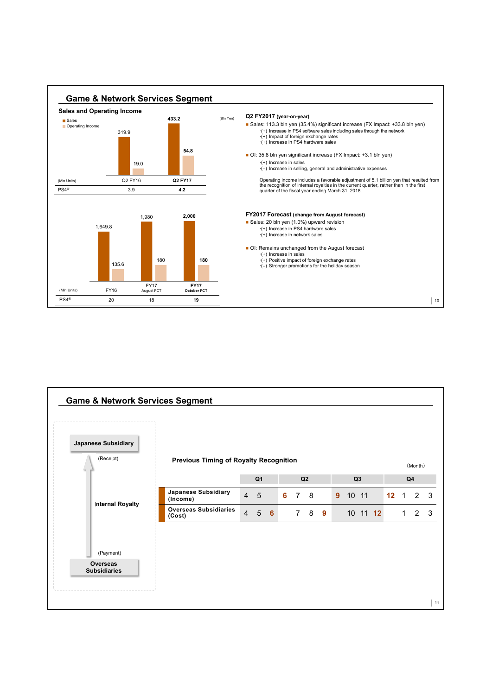

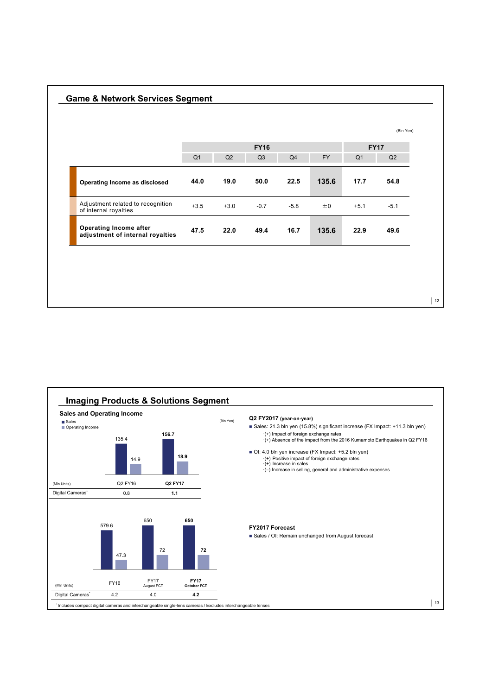|                                                            |                |        |             |                |           |                | (Bln Yen)   |
|------------------------------------------------------------|----------------|--------|-------------|----------------|-----------|----------------|-------------|
|                                                            |                |        | <b>FY16</b> |                |           |                | <b>FY17</b> |
|                                                            | Q <sub>1</sub> | Q2     | Q3          | Q <sub>4</sub> | <b>FY</b> | Q <sub>1</sub> | Q2          |
| Operating Income as disclosed                              | 44.0           | 19.0   | 50.0        | 22.5           | 135.6     | 17.7           | 54.8        |
| Adjustment related to recognition<br>of internal royalties | $+3.5$         | $+3.0$ | $-0.7$      | $-5.8$         | ±0        | $+5.1$         | $-5.1$      |
| Operating Income after<br>adjustment of internal royalties | 47.5           | 22.0   | 49.4        | 16.7           | 135.6     | 22.9           | 49.6        |

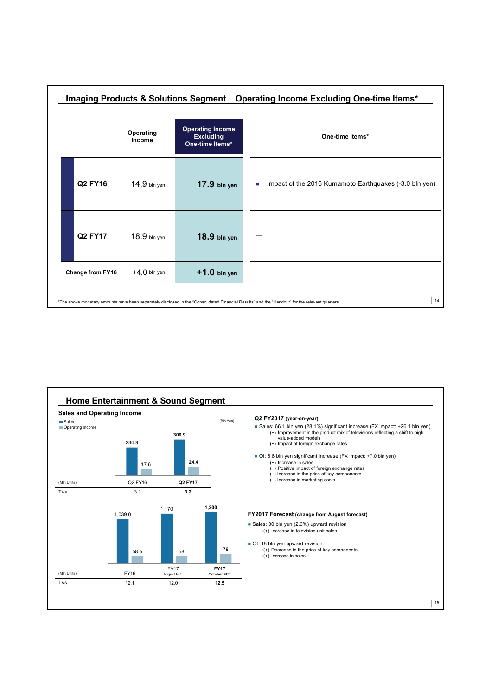

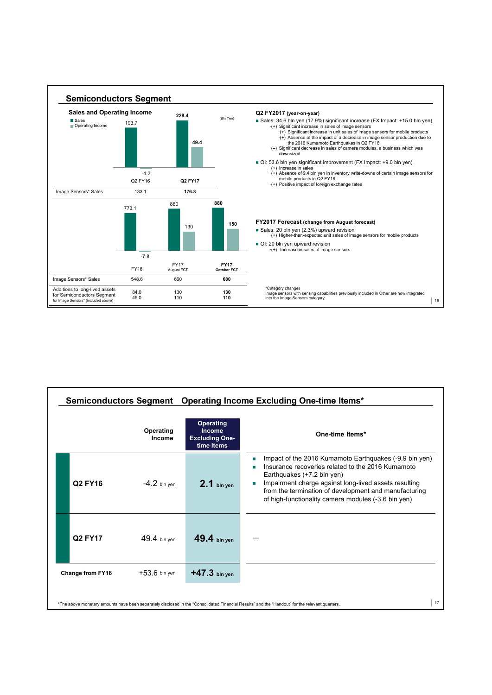

|                  |                     |                                                                   | Semiconductors Segment  Operating Income Excluding One-time Items*                                                                                                                                                                                                                                                 |
|------------------|---------------------|-------------------------------------------------------------------|--------------------------------------------------------------------------------------------------------------------------------------------------------------------------------------------------------------------------------------------------------------------------------------------------------------------|
|                  | Operating<br>Income | <b>Operating</b><br>Income<br><b>Excluding One-</b><br>time Items | One-time Items*                                                                                                                                                                                                                                                                                                    |
| Q2 FY16          | $-4.2$ bln yen      | $2.1$ bin yen                                                     | Impact of the 2016 Kumamoto Earthquakes (-9.9 bln yen)<br>Insurance recoveries related to the 2016 Kumamoto<br>Earthquakes (+7.2 bln yen)<br>Impairment charge against long-lived assets resulting<br>from the termination of development and manufacturing<br>of high-functionality camera modules (-3.6 bln yen) |
| Q2 FY17          | $49.4$ bln yen      | $49.4$ bln yen                                                    |                                                                                                                                                                                                                                                                                                                    |
| Change from FY16 | $+53.6$ bln yen     | $+47.3$ bln yen                                                   |                                                                                                                                                                                                                                                                                                                    |
|                  |                     |                                                                   | 17<br>*The above monetary amounts have been separately disclosed in the "Consolidated Financial Results" and the "Handout" for the relevant quarters.                                                                                                                                                              |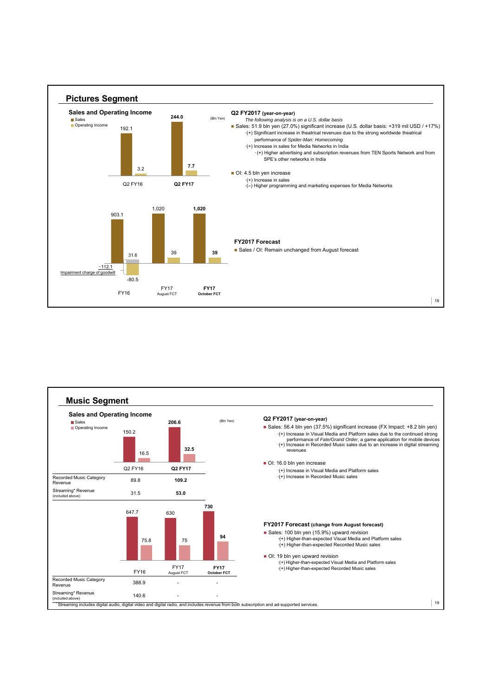

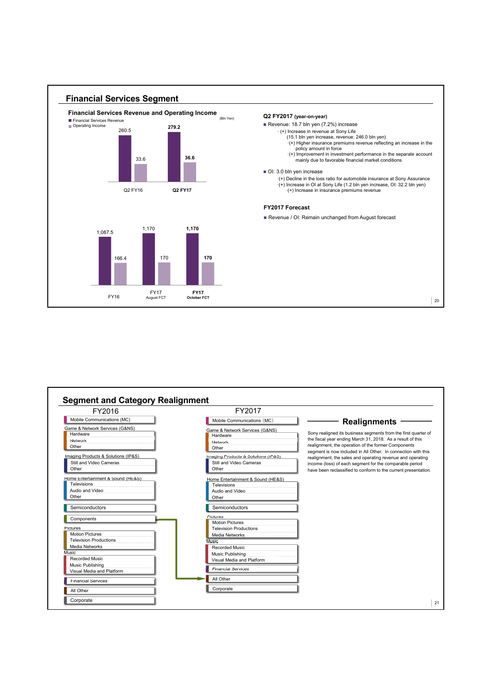

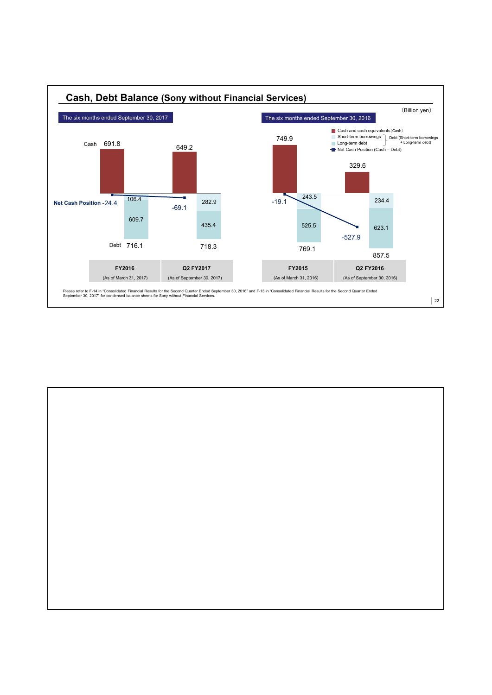

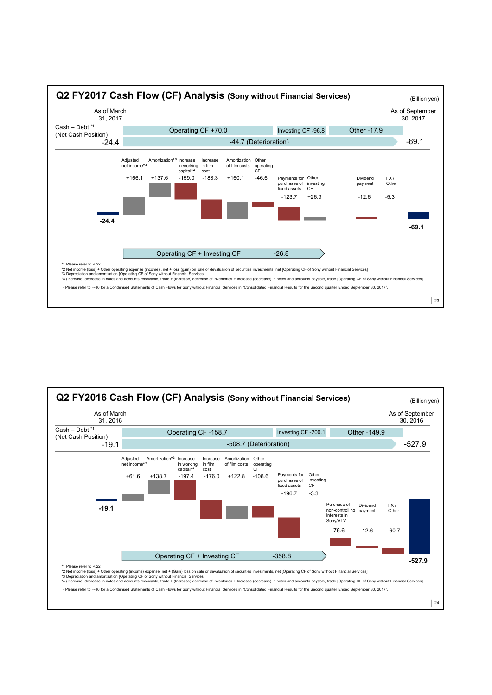